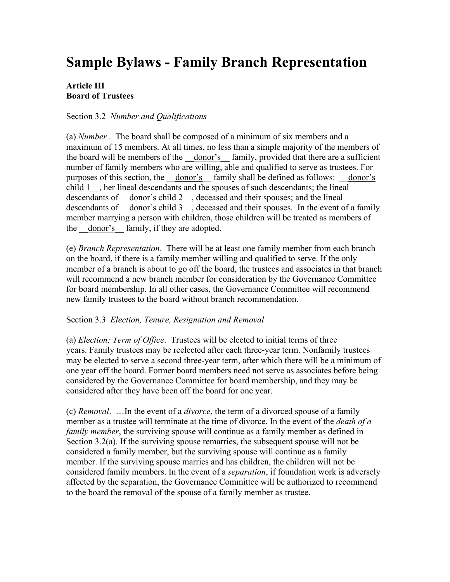# **Sample Bylaws - Family Branch Representation**

## **Article III Board of Trustees**

### Section 3.2 *Number and Qualifications*

(a) *Number* . The board shall be composed of a minimum of six members and a maximum of 15 members. At all times, no less than a simple majority of the members of the board will be members of the donor's family, provided that there are a sufficient number of family members who are willing, able and qualified to serve as trustees. For purposes of this section, the donor's family shall be defined as follows: donor's child 1 her lineal descendants and the spouses of such descendants; the lineal descendants of \_\_donor's child 2\_\_, deceased and their spouses; and the lineal descendants of donor's child 3 , deceased and their spouses. In the event of a family member marrying a person with children, those children will be treated as members of the donor's family, if they are adopted.

(e) *Branch Representation*. There will be at least one family member from each branch on the board, if there is a family member willing and qualified to serve. If the only member of a branch is about to go off the board, the trustees and associates in that branch will recommend a new branch member for consideration by the Governance Committee for board membership. In all other cases, the Governance Committee will recommend new family trustees to the board without branch recommendation.

#### Section 3.3 *Election, Tenure, Resignation and Removal*

(a) *Election; Term of Office*. Trustees will be elected to initial terms of three years. Family trustees may be reelected after each three-year term. Nonfamily trustees may be elected to serve a second three-year term, after which there will be a minimum of one year off the board. Former board members need not serve as associates before being considered by the Governance Committee for board membership, and they may be considered after they have been off the board for one year.

(c) *Removal*. …In the event of a *divorce*, the term of a divorced spouse of a family member as a trustee will terminate at the time of divorce. In the event of the *death of a family member*, the surviving spouse will continue as a family member as defined in Section 3.2(a). If the surviving spouse remarries, the subsequent spouse will not be considered a family member, but the surviving spouse will continue as a family member. If the surviving spouse marries and has children, the children will not be considered family members. In the event of a *separation*, if foundation work is adversely affected by the separation, the Governance Committee will be authorized to recommend to the board the removal of the spouse of a family member as trustee.